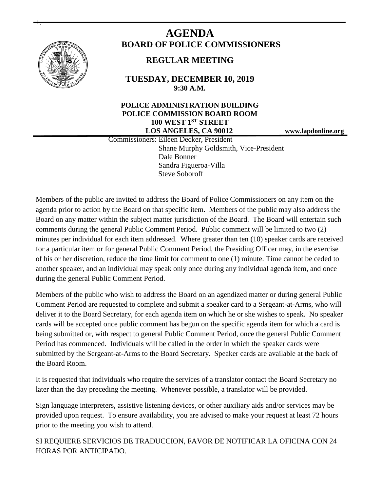

+.

# **AGENDA BOARD OF POLICE COMMISSIONERS**

# **REGULAR MEETING**

**TUESDAY, DECEMBER 10, 2019 9:30 A.M.**

## **POLICE ADMINISTRATION BUILDING POLICE COMMISSION BOARD ROOM 100 WEST 1ST STREET LOS ANGELES, CA 90012 www.lapdonline.org**

 Commissioners: Eileen Decker, President Shane Murphy Goldsmith, Vice-President Dale Bonner Sandra Figueroa-Villa Steve Soboroff

Members of the public are invited to address the Board of Police Commissioners on any item on the agenda prior to action by the Board on that specific item. Members of the public may also address the Board on any matter within the subject matter jurisdiction of the Board. The Board will entertain such comments during the general Public Comment Period. Public comment will be limited to two (2) minutes per individual for each item addressed. Where greater than ten (10) speaker cards are received for a particular item or for general Public Comment Period, the Presiding Officer may, in the exercise of his or her discretion, reduce the time limit for comment to one (1) minute. Time cannot be ceded to another speaker, and an individual may speak only once during any individual agenda item, and once during the general Public Comment Period.

Members of the public who wish to address the Board on an agendized matter or during general Public Comment Period are requested to complete and submit a speaker card to a Sergeant-at-Arms, who will deliver it to the Board Secretary, for each agenda item on which he or she wishes to speak. No speaker cards will be accepted once public comment has begun on the specific agenda item for which a card is being submitted or, with respect to general Public Comment Period, once the general Public Comment Period has commenced. Individuals will be called in the order in which the speaker cards were submitted by the Sergeant-at-Arms to the Board Secretary. Speaker cards are available at the back of the Board Room.

It is requested that individuals who require the services of a translator contact the Board Secretary no later than the day preceding the meeting. Whenever possible, a translator will be provided.

Sign language interpreters, assistive listening devices, or other auxiliary aids and/or services may be provided upon request. To ensure availability, you are advised to make your request at least 72 hours prior to the meeting you wish to attend.

SI REQUIERE SERVICIOS DE TRADUCCION, FAVOR DE NOTIFICAR LA OFICINA CON 24 HORAS POR ANTICIPADO.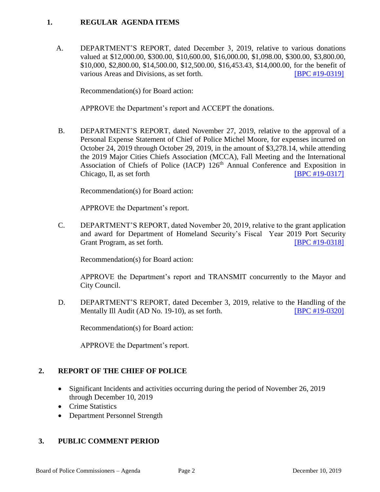## **1. REGULAR AGENDA ITEMS**

A. DEPARTMENT'S REPORT, dated December 3, 2019, relative to various donations valued at \$12,000.00, \$300.00, \$10,600.00, \$16,000.00, \$1,098.00, \$300.00, \$3,800.00, \$10,000, \$2,800.00, \$14,500.00, \$12,500.00, \$16,453.43, \$14,000.00, for the benefit of various Areas and Divisions, as set forth. [\[BPC #19-0319\]](http://www.lapdpolicecom.lacity.org/121019/BPC_19-0319.pdf)

Recommendation(s) for Board action:

APPROVE the Department's report and ACCEPT the donations.

B. DEPARTMENT'S REPORT, dated November 27, 2019, relative to the approval of a Personal Expense Statement of Chief of Police Michel Moore, for expenses incurred on October 24, 2019 through October 29, 2019, in the amount of \$3,278.14, while attending the 2019 Major Cities Chiefs Association (MCCA), Fall Meeting and the International Association of Chiefs of Police (IACP) 126<sup>th</sup> Annual Conference and Exposition in Chicago, Il, as set forth  $[BPC #19-0317]$ 

Recommendation(s) for Board action:

APPROVE the Department's report.

C. DEPARTMENT'S REPORT, dated November 20, 2019, relative to the grant application and award for Department of Homeland Security's Fiscal Year 2019 Port Security Grant Program, as set forth. [\[BPC #19-0318\]](http://www.lapdpolicecom.lacity.org/121019/BPC_19-0318.pdf)

Recommendation(s) for Board action:

APPROVE the Department's report and TRANSMIT concurrently to the Mayor and City Council.

D. DEPARTMENT'S REPORT, dated December 3, 2019, relative to the Handling of the Mentally Ill Audit (AD No. 19-10), as set forth. **[\[BPC #19-0320\]](http://www.lapdpolicecom.lacity.org/121019/BPC_19-0320.pdf)** 

Recommendation(s) for Board action:

APPROVE the Department's report.

#### **2. REPORT OF THE CHIEF OF POLICE**

- Significant Incidents and activities occurring during the period of November 26, 2019 through December 10, 2019
- Crime Statistics
- Department Personnel Strength

#### **3. PUBLIC COMMENT PERIOD**